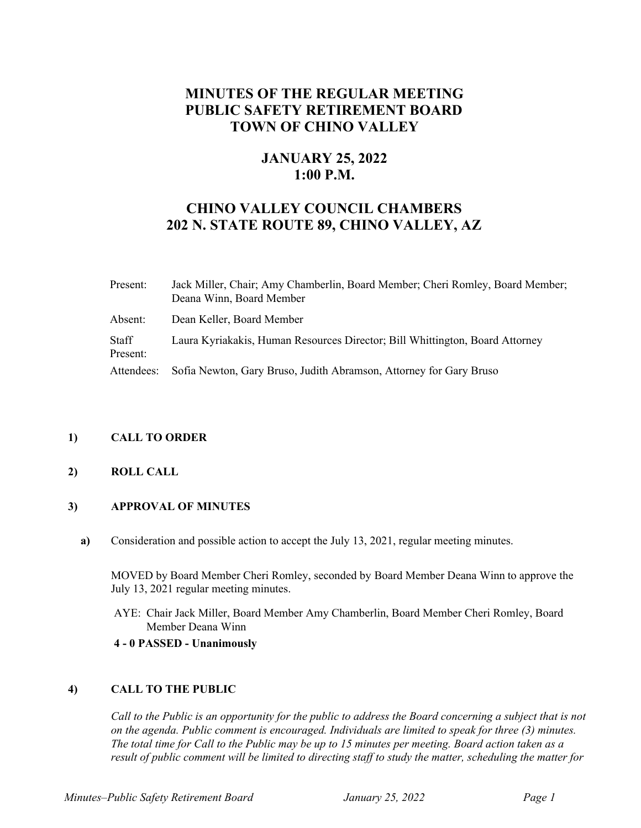# **MINUTES OF THE REGULAR MEETING PUBLIC SAFETY RETIREMENT BOARD TOWN OF CHINO VALLEY**

## **JANUARY 25, 2022 1:00 P.M.**

## **CHINO VALLEY COUNCIL CHAMBERS 202 N. STATE ROUTE 89, CHINO VALLEY, AZ**

| Present:          | Jack Miller, Chair; Amy Chamberlin, Board Member; Cheri Romley, Board Member;<br>Deana Winn, Board Member |
|-------------------|-----------------------------------------------------------------------------------------------------------|
| Absent:           | Dean Keller, Board Member                                                                                 |
| Staff<br>Present: | Laura Kyriakakis, Human Resources Director; Bill Whittington, Board Attorney                              |
| Attendees:        | Sofia Newton, Gary Bruso, Judith Abramson, Attorney for Gary Bruso                                        |

## **1) CALL TO ORDER**

## **2) ROLL CALL**

## **3) APPROVAL OF MINUTES**

**a)** Consideration and possible action to accept the July 13, 2021, regular meeting minutes.

MOVED by Board Member Cheri Romley, seconded by Board Member Deana Winn to approve the July 13, 2021 regular meeting minutes.

AYE: Chair Jack Miller, Board Member Amy Chamberlin, Board Member Cheri Romley, Board Member Deana Winn

#### **4 - 0 PASSED - Unanimously**

## **4) CALL TO THE PUBLIC**

*Call to the Public is an opportunity for the public to address the Board concerning a subject that is not on the agenda. Public comment is encouraged. Individuals are limited to speak for three (3) minutes. The total time for Call to the Public may be up to 15 minutes per meeting. Board action taken as a result of public comment will be limited to directing staff to study the matter, scheduling the matter for*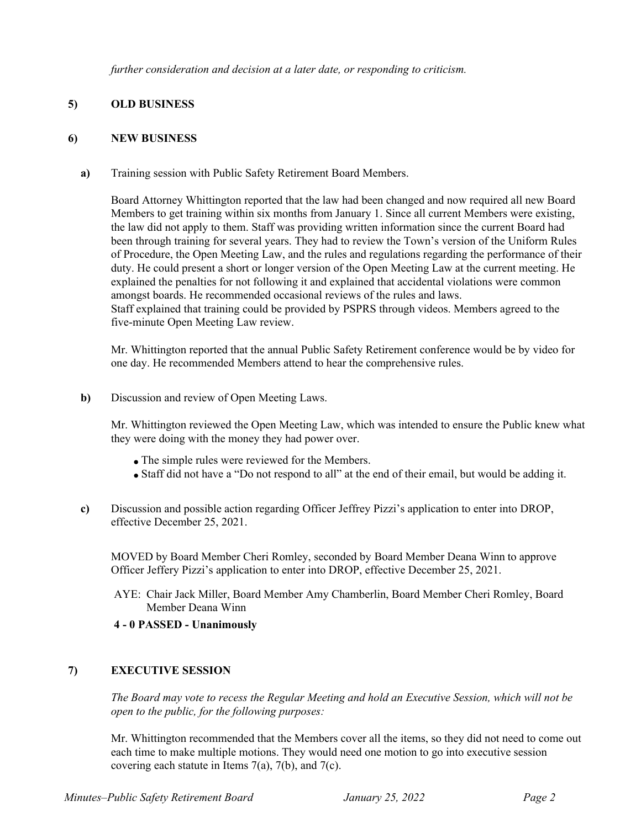*further consideration and decision at a later date, or responding to criticism.*

## **5) OLD BUSINESS**

#### **6) NEW BUSINESS**

**a)** Training session with Public Safety Retirement Board Members.

Board Attorney Whittington reported that the law had been changed and now required all new Board Members to get training within six months from January 1. Since all current Members were existing, the law did not apply to them. Staff was providing written information since the current Board had been through training for several years. They had to review the Town's version of the Uniform Rules of Procedure, the Open Meeting Law, and the rules and regulations regarding the performance of their duty. He could present a short or longer version of the Open Meeting Law at the current meeting. He explained the penalties for not following it and explained that accidental violations were common amongst boards. He recommended occasional reviews of the rules and laws. Staff explained that training could be provided by PSPRS through videos. Members agreed to the five-minute Open Meeting Law review.

Mr. Whittington reported that the annual Public Safety Retirement conference would be by video for one day. He recommended Members attend to hear the comprehensive rules.

**b)** Discussion and review of Open Meeting Laws.

Mr. Whittington reviewed the Open Meeting Law, which was intended to ensure the Public knew what they were doing with the money they had power over.

- The simple rules were reviewed for the Members.
- Staff did not have a "Do not respond to all" at the end of their email, but would be adding it.
- **c)** Discussion and possible action regarding Officer Jeffrey Pizzi's application to enter into DROP, effective December 25, 2021.

MOVED by Board Member Cheri Romley, seconded by Board Member Deana Winn to approve Officer Jeffery Pizzi's application to enter into DROP, effective December 25, 2021.

AYE: Chair Jack Miller, Board Member Amy Chamberlin, Board Member Cheri Romley, Board Member Deana Winn

## **4 - 0 PASSED - Unanimously**

## **7) EXECUTIVE SESSION**

*The Board may vote to recess the Regular Meeting and hold an Executive Session, which will not be open to the public, for the following purposes:*

Mr. Whittington recommended that the Members cover all the items, so they did not need to come out each time to make multiple motions. They would need one motion to go into executive session covering each statute in Items  $7(a)$ ,  $7(b)$ , and  $7(c)$ .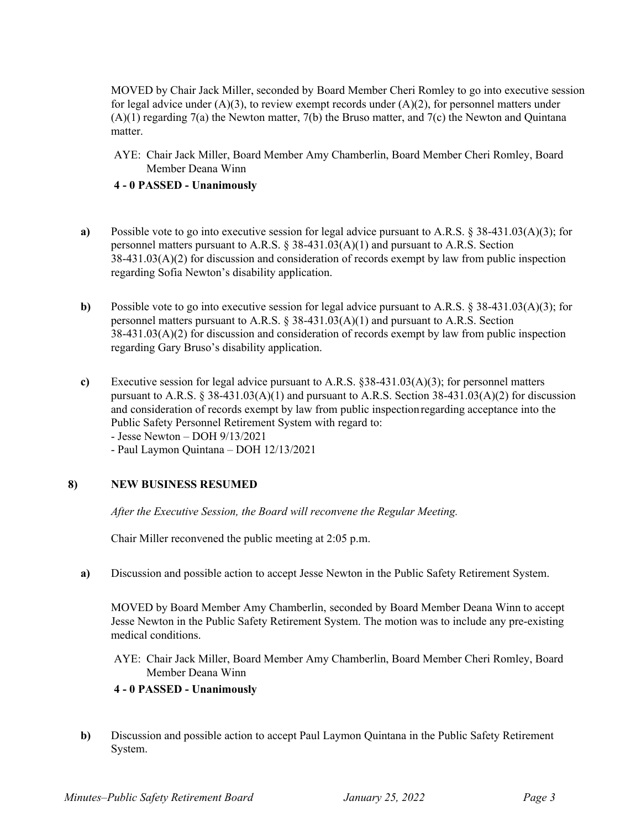MOVED by Chair Jack Miller, seconded by Board Member Cheri Romley to go into executive session for legal advice under  $(A)(3)$ , to review exempt records under  $(A)(2)$ , for personnel matters under (A)(1) regarding 7(a) the Newton matter, 7(b) the Bruso matter, and 7(c) the Newton and Quintana matter.

AYE: Chair Jack Miller, Board Member Amy Chamberlin, Board Member Cheri Romley, Board Member Deana Winn

#### **4 - 0 PASSED - Unanimously**

- **a)** Possible vote to go into executive session for legal advice pursuant to A.R.S. § 38-431.03(A)(3); for personnel matters pursuant to A.R.S. § 38-431.03(A)(1) and pursuant to A.R.S. Section 38-431.03(A)(2) for discussion and consideration of records exempt by law from public inspection regarding Sofia Newton's disability application.
- **b)** Possible vote to go into executive session for legal advice pursuant to A.R.S. § 38-431.03(A)(3); for personnel matters pursuant to A.R.S.  $\S 38-431.03(A)(1)$  and pursuant to A.R.S. Section 38-431.03(A)(2) for discussion and consideration of records exempt by law from public inspection regarding Gary Bruso's disability application.
- **c)** Executive session for legal advice pursuant to A.R.S. §38-431.03(A)(3); for personnel matters pursuant to A.R.S. § 38-431.03(A)(1) and pursuant to A.R.S. Section 38-431.03(A)(2) for discussion and consideration of records exempt by law from public inspection regarding acceptance into the Public Safety Personnel Retirement System with regard to: - Jesse Newton – DOH 9/13/2021
	- Paul Laymon Quintana DOH 12/13/2021

## **8) NEW BUSINESS RESUMED**

*After the Executive Session, the Board will reconvene the Regular Meeting.*

Chair Miller reconvened the public meeting at 2:05 p.m.

**a)** Discussion and possible action to accept Jesse Newton in the Public Safety Retirement System.

MOVED by Board Member Amy Chamberlin, seconded by Board Member Deana Winn to accept Jesse Newton in the Public Safety Retirement System. The motion was to include any pre-existing medical conditions.

AYE: Chair Jack Miller, Board Member Amy Chamberlin, Board Member Cheri Romley, Board Member Deana Winn

## **4 - 0 PASSED - Unanimously**

**b)** Discussion and possible action to accept Paul Laymon Quintana in the Public Safety Retirement System.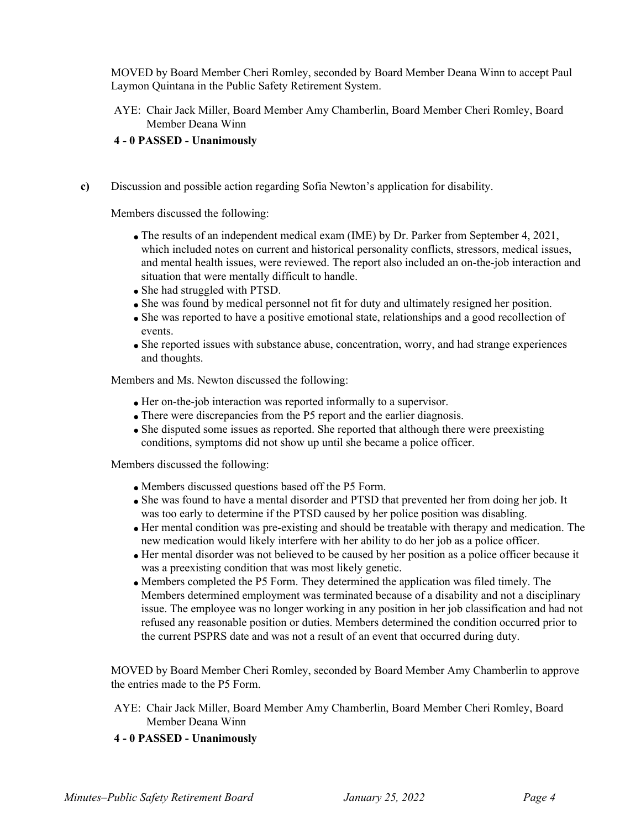MOVED by Board Member Cheri Romley, seconded by Board Member Deana Winn to accept Paul Laymon Quintana in the Public Safety Retirement System.

AYE: Chair Jack Miller, Board Member Amy Chamberlin, Board Member Cheri Romley, Board Member Deana Winn

#### **4 - 0 PASSED - Unanimously**

**c)** Discussion and possible action regarding Sofia Newton's application for disability.

Members discussed the following:

- The results of an independent medical exam (IME) by Dr. Parker from September 4, 2021, which included notes on current and historical personality conflicts, stressors, medical issues, and mental health issues, were reviewed. The report also included an on-the-job interaction and situation that were mentally difficult to handle.
- She had struggled with PTSD.
- She was found by medical personnel not fit for duty and ultimately resigned her position.
- She was reported to have a positive emotional state, relationships and a good recollection of events.
- She reported issues with substance abuse, concentration, worry, and had strange experiences and thoughts.

Members and Ms. Newton discussed the following:

- Her on-the-job interaction was reported informally to a supervisor.
- There were discrepancies from the P5 report and the earlier diagnosis.
- She disputed some issues as reported. She reported that although there were preexisting conditions, symptoms did not show up until she became a police officer.

Members discussed the following:

- Members discussed questions based off the P5 Form.
- She was found to have a mental disorder and PTSD that prevented her from doing her job. It was too early to determine if the PTSD caused by her police position was disabling.
- Her mental condition was pre-existing and should be treatable with therapy and medication. The new medication would likely interfere with her ability to do her job as a police officer.
- Her mental disorder was not believed to be caused by her position as a police officer because it was a preexisting condition that was most likely genetic.
- Members completed the P5 Form. They determined the application was filed timely. The Members determined employment was terminated because of a disability and not a disciplinary issue. The employee was no longer working in any position in her job classification and had not refused any reasonable position or duties. Members determined the condition occurred prior to the current PSPRS date and was not a result of an event that occurred during duty.

MOVED by Board Member Cheri Romley, seconded by Board Member Amy Chamberlin to approve the entries made to the P5 Form.

AYE: Chair Jack Miller, Board Member Amy Chamberlin, Board Member Cheri Romley, Board Member Deana Winn

## **4 - 0 PASSED - Unanimously**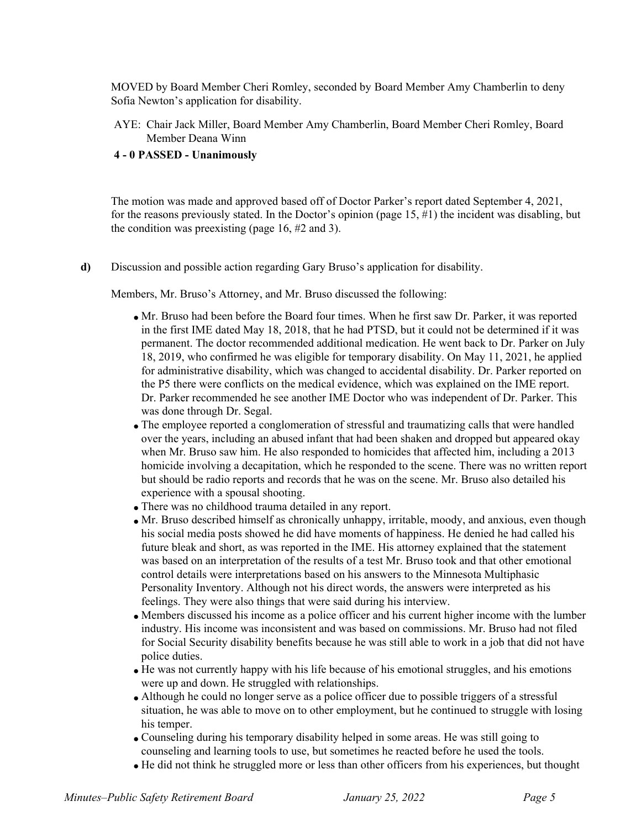MOVED by Board Member Cheri Romley, seconded by Board Member Amy Chamberlin to deny Sofia Newton's application for disability.

AYE: Chair Jack Miller, Board Member Amy Chamberlin, Board Member Cheri Romley, Board Member Deana Winn

#### **4 - 0 PASSED - Unanimously**

The motion was made and approved based off of Doctor Parker's report dated September 4, 2021, for the reasons previously stated. In the Doctor's opinion (page  $15, \#1$ ) the incident was disabling, but the condition was preexisting (page 16, #2 and 3).

**d)** Discussion and possible action regarding Gary Bruso's application for disability.

Members, Mr. Bruso's Attorney, and Mr. Bruso discussed the following:

- Mr. Bruso had been before the Board four times. When he first saw Dr. Parker, it was reported in the first IME dated May 18, 2018, that he had PTSD, but it could not be determined if it was permanent. The doctor recommended additional medication. He went back to Dr. Parker on July 18, 2019, who confirmed he was eligible for temporary disability. On May 11, 2021, he applied for administrative disability, which was changed to accidental disability. Dr. Parker reported on the P5 there were conflicts on the medical evidence, which was explained on the IME report. Dr. Parker recommended he see another IME Doctor who was independent of Dr. Parker. This was done through Dr. Segal.
- The employee reported a conglomeration of stressful and traumatizing calls that were handled over the years, including an abused infant that had been shaken and dropped but appeared okay when Mr. Bruso saw him. He also responded to homicides that affected him, including a 2013 homicide involving a decapitation, which he responded to the scene. There was no written report but should be radio reports and records that he was on the scene. Mr. Bruso also detailed his experience with a spousal shooting.
- There was no childhood trauma detailed in any report.
- Mr. Bruso described himself as chronically unhappy, irritable, moody, and anxious, even though his social media posts showed he did have moments of happiness. He denied he had called his future bleak and short, as was reported in the IME. His attorney explained that the statement was based on an interpretation of the results of a test Mr. Bruso took and that other emotional control details were interpretations based on his answers to the Minnesota Multiphasic Personality Inventory. Although not his direct words, the answers were interpreted as his feelings. They were also things that were said during his interview.
- Members discussed his income as a police officer and his current higher income with the lumber industry. His income was inconsistent and was based on commissions. Mr. Bruso had not filed for Social Security disability benefits because he was still able to work in a job that did not have police duties.
- He was not currently happy with his life because of his emotional struggles, and his emotions were up and down. He struggled with relationships.
- Although he could no longer serve as a police officer due to possible triggers of a stressful situation, he was able to move on to other employment, but he continued to struggle with losing his temper.
- Counseling during his temporary disability helped in some areas. He was still going to counseling and learning tools to use, but sometimes he reacted before he used the tools.
- He did not think he struggled more or less than other officers from his experiences, but thought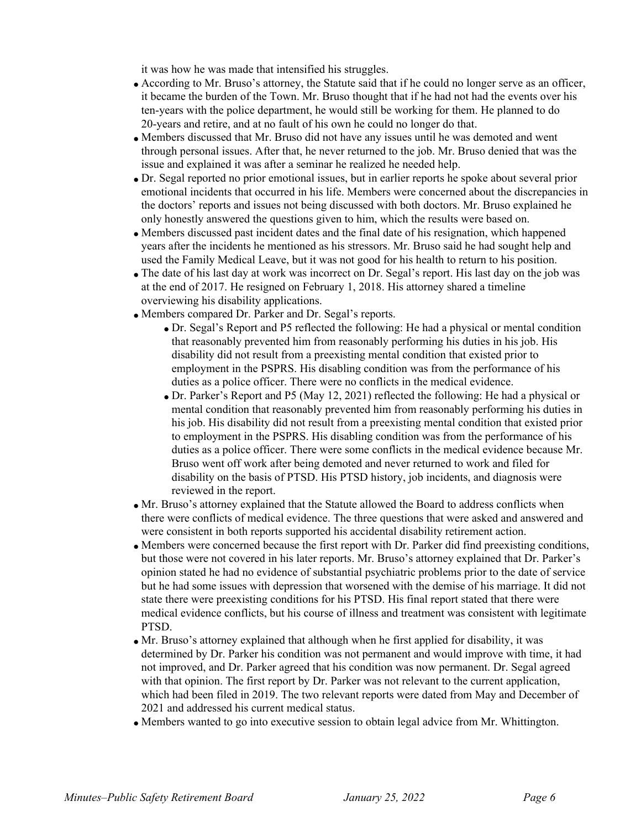it was how he was made that intensified his struggles.

- According to Mr. Bruso's attorney, the Statute said that if he could no longer serve as an officer, it became the burden of the Town. Mr. Bruso thought that if he had not had the events over his ten-years with the police department, he would still be working for them. He planned to do 20-years and retire, and at no fault of his own he could no longer do that.
- Members discussed that Mr. Bruso did not have any issues until he was demoted and went through personal issues. After that, he never returned to the job. Mr. Bruso denied that was the issue and explained it was after a seminar he realized he needed help.
- Dr. Segal reported no prior emotional issues, but in earlier reports he spoke about several prior emotional incidents that occurred in his life. Members were concerned about the discrepancies in the doctors' reports and issues not being discussed with both doctors. Mr. Bruso explained he only honestly answered the questions given to him, which the results were based on.
- Members discussed past incident dates and the final date of his resignation, which happened years after the incidents he mentioned as his stressors. Mr. Bruso said he had sought help and used the Family Medical Leave, but it was not good for his health to return to his position.
- The date of his last day at work was incorrect on Dr. Segal's report. His last day on the job was at the end of 2017. He resigned on February 1, 2018. His attorney shared a timeline overviewing his disability applications.
- Members compared Dr. Parker and Dr. Segal's reports.
	- Dr. Segal's Report and P5 reflected the following: He had a physical or mental condition that reasonably prevented him from reasonably performing his duties in his job. His disability did not result from a preexisting mental condition that existed prior to employment in the PSPRS. His disabling condition was from the performance of his duties as a police officer. There were no conflicts in the medical evidence.
	- Dr. Parker's Report and P5 (May 12, 2021) reflected the following: He had a physical or mental condition that reasonably prevented him from reasonably performing his duties in his job. His disability did not result from a preexisting mental condition that existed prior to employment in the PSPRS. His disabling condition was from the performance of his duties as a police officer. There were some conflicts in the medical evidence because Mr. Bruso went off work after being demoted and never returned to work and filed for disability on the basis of PTSD. His PTSD history, job incidents, and diagnosis were reviewed in the report.
- Mr. Bruso's attorney explained that the Statute allowed the Board to address conflicts when there were conflicts of medical evidence. The three questions that were asked and answered and were consistent in both reports supported his accidental disability retirement action.
- Members were concerned because the first report with Dr. Parker did find preexisting conditions, but those were not covered in his later reports. Mr. Bruso's attorney explained that Dr. Parker's opinion stated he had no evidence of substantial psychiatric problems prior to the date of service but he had some issues with depression that worsened with the demise of his marriage. It did not state there were preexisting conditions for his PTSD. His final report stated that there were medical evidence conflicts, but his course of illness and treatment was consistent with legitimate PTSD.
- Mr. Bruso's attorney explained that although when he first applied for disability, it was determined by Dr. Parker his condition was not permanent and would improve with time, it had not improved, and Dr. Parker agreed that his condition was now permanent. Dr. Segal agreed with that opinion. The first report by Dr. Parker was not relevant to the current application, which had been filed in 2019. The two relevant reports were dated from May and December of 2021 and addressed his current medical status.
- Members wanted to go into executive session to obtain legal advice from Mr. Whittington.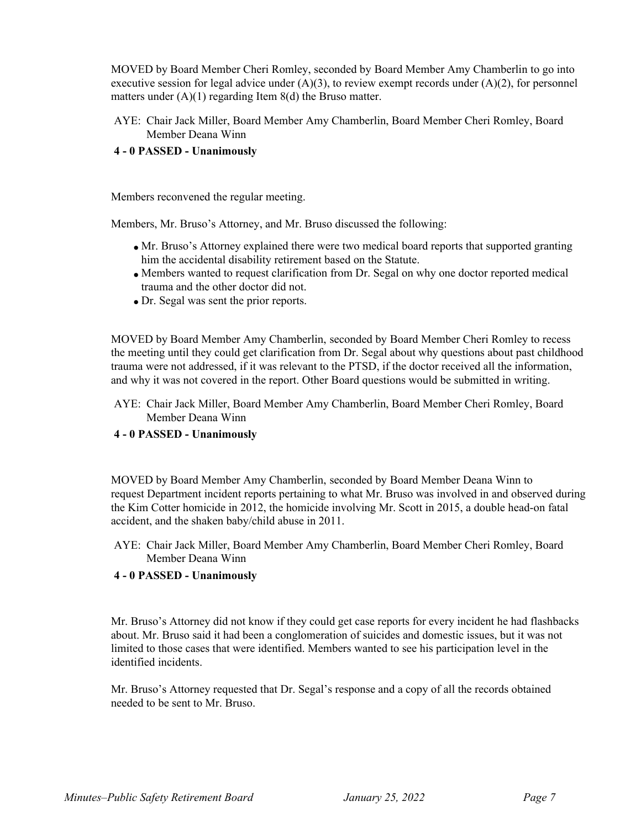MOVED by Board Member Cheri Romley, seconded by Board Member Amy Chamberlin to go into executive session for legal advice under  $(A)(3)$ , to review exempt records under  $(A)(2)$ , for personnel matters under  $(A)(1)$  regarding Item  $8(d)$  the Bruso matter.

AYE: Chair Jack Miller, Board Member Amy Chamberlin, Board Member Cheri Romley, Board Member Deana Winn

#### **4 - 0 PASSED - Unanimously**

Members reconvened the regular meeting.

Members, Mr. Bruso's Attorney, and Mr. Bruso discussed the following:

- Mr. Bruso's Attorney explained there were two medical board reports that supported granting him the accidental disability retirement based on the Statute.
- Members wanted to request clarification from Dr. Segal on why one doctor reported medical trauma and the other doctor did not.
- Dr. Segal was sent the prior reports.

MOVED by Board Member Amy Chamberlin, seconded by Board Member Cheri Romley to recess the meeting until they could get clarification from Dr. Segal about why questions about past childhood trauma were not addressed, if it was relevant to the PTSD, if the doctor received all the information, and why it was not covered in the report. Other Board questions would be submitted in writing.

AYE: Chair Jack Miller, Board Member Amy Chamberlin, Board Member Cheri Romley, Board Member Deana Winn

#### **4 - 0 PASSED - Unanimously**

MOVED by Board Member Amy Chamberlin, seconded by Board Member Deana Winn to request Department incident reports pertaining to what Mr. Bruso was involved in and observed during the Kim Cotter homicide in 2012, the homicide involving Mr. Scott in 2015, a double head-on fatal accident, and the shaken baby/child abuse in 2011.

AYE: Chair Jack Miller, Board Member Amy Chamberlin, Board Member Cheri Romley, Board Member Deana Winn

#### **4 - 0 PASSED - Unanimously**

Mr. Bruso's Attorney did not know if they could get case reports for every incident he had flashbacks about. Mr. Bruso said it had been a conglomeration of suicides and domestic issues, but it was not limited to those cases that were identified. Members wanted to see his participation level in the identified incidents.

Mr. Bruso's Attorney requested that Dr. Segal's response and a copy of all the records obtained needed to be sent to Mr. Bruso.